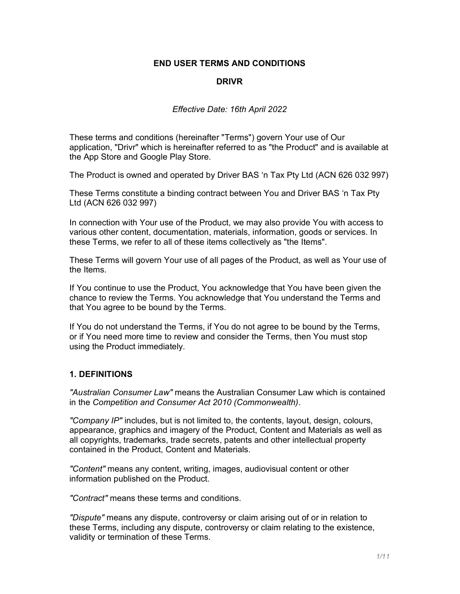### END USER TERMS AND CONDITIONS

#### DRIVR

#### Effective Date: 16th April 2022

These terms and conditions (hereinafter "Terms") govern Your use of Our application, "Drivr" which is hereinafter referred to as "the Product" and is available at the App Store and Google Play Store.

The Product is owned and operated by Driver BAS 'n Tax Pty Ltd (ACN 626 032 997)

These Terms constitute a binding contract between You and Driver BAS 'n Tax Pty Ltd (ACN 626 032 997)

In connection with Your use of the Product, we may also provide You with access to various other content, documentation, materials, information, goods or services. In these Terms, we refer to all of these items collectively as "the Items".

These Terms will govern Your use of all pages of the Product, as well as Your use of the Items.

If You continue to use the Product, You acknowledge that You have been given the chance to review the Terms. You acknowledge that You understand the Terms and that You agree to be bound by the Terms.

If You do not understand the Terms, if You do not agree to be bound by the Terms, or if You need more time to review and consider the Terms, then You must stop using the Product immediately.

#### 1. DEFINITIONS

"Australian Consumer Law" means the Australian Consumer Law which is contained in the Competition and Consumer Act 2010 (Commonwealth).

"Company IP" includes, but is not limited to, the contents, layout, design, colours, appearance, graphics and imagery of the Product, Content and Materials as well as all copyrights, trademarks, trade secrets, patents and other intellectual property contained in the Product, Content and Materials.

"Content" means any content, writing, images, audiovisual content or other information published on the Product.

"Contract" means these terms and conditions.

"Dispute" means any dispute, controversy or claim arising out of or in relation to these Terms, including any dispute, controversy or claim relating to the existence, validity or termination of these Terms.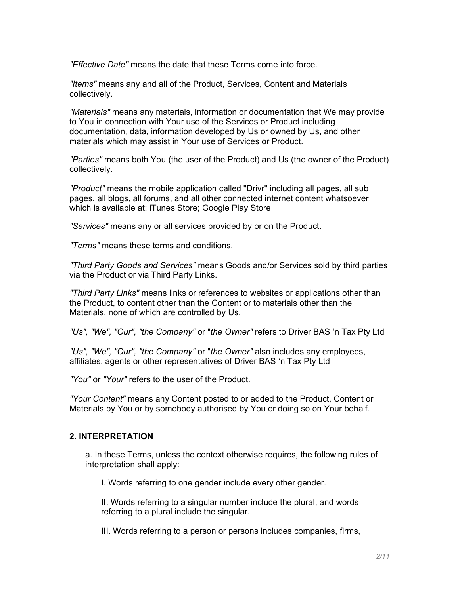"Effective Date" means the date that these Terms come into force.

"Items" means any and all of the Product, Services, Content and Materials collectively.

"Materials" means any materials, information or documentation that We may provide to You in connection with Your use of the Services or Product including documentation, data, information developed by Us or owned by Us, and other materials which may assist in Your use of Services or Product.

"Parties" means both You (the user of the Product) and Us (the owner of the Product) collectively.

"Product" means the mobile application called "Drivr" including all pages, all sub pages, all blogs, all forums, and all other connected internet content whatsoever which is available at: iTunes Store; Google Play Store

"Services" means any or all services provided by or on the Product.

"Terms" means these terms and conditions.

"Third Party Goods and Services" means Goods and/or Services sold by third parties via the Product or via Third Party Links.

"Third Party Links" means links or references to websites or applications other than the Product, to content other than the Content or to materials other than the Materials, none of which are controlled by Us.

"Us", "We", "Our", "the Company" or "the Owner" refers to Driver BAS 'n Tax Pty Ltd

"Us", "We", "Our", "the Company" or "the Owner" also includes any employees, affiliates, agents or other representatives of Driver BAS 'n Tax Pty Ltd

"You" or "Your" refers to the user of the Product.

"Your Content" means any Content posted to or added to the Product, Content or Materials by You or by somebody authorised by You or doing so on Your behalf.

#### 2. INTERPRETATION

a. In these Terms, unless the context otherwise requires, the following rules of interpretation shall apply:

I. Words referring to one gender include every other gender.

II. Words referring to a singular number include the plural, and words referring to a plural include the singular.

III. Words referring to a person or persons includes companies, firms,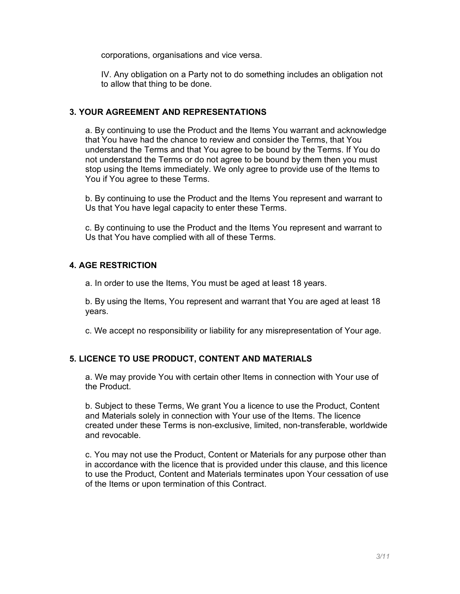corporations, organisations and vice versa.

IV. Any obligation on a Party not to do something includes an obligation not to allow that thing to be done.

## 3. YOUR AGREEMENT AND REPRESENTATIONS

a. By continuing to use the Product and the Items You warrant and acknowledge that You have had the chance to review and consider the Terms, that You understand the Terms and that You agree to be bound by the Terms. If You do not understand the Terms or do not agree to be bound by them then you must stop using the Items immediately. We only agree to provide use of the Items to You if You agree to these Terms.

b. By continuing to use the Product and the Items You represent and warrant to Us that You have legal capacity to enter these Terms.

c. By continuing to use the Product and the Items You represent and warrant to Us that You have complied with all of these Terms.

## 4. AGE RESTRICTION

a. In order to use the Items, You must be aged at least 18 years.

b. By using the Items, You represent and warrant that You are aged at least 18 years.

c. We accept no responsibility or liability for any misrepresentation of Your age.

# 5. LICENCE TO USE PRODUCT, CONTENT AND MATERIALS

a. We may provide You with certain other Items in connection with Your use of the Product.

b. Subject to these Terms, We grant You a licence to use the Product, Content and Materials solely in connection with Your use of the Items. The licence created under these Terms is non-exclusive, limited, non-transferable, worldwide and revocable.

c. You may not use the Product, Content or Materials for any purpose other than in accordance with the licence that is provided under this clause, and this licence to use the Product, Content and Materials terminates upon Your cessation of use of the Items or upon termination of this Contract.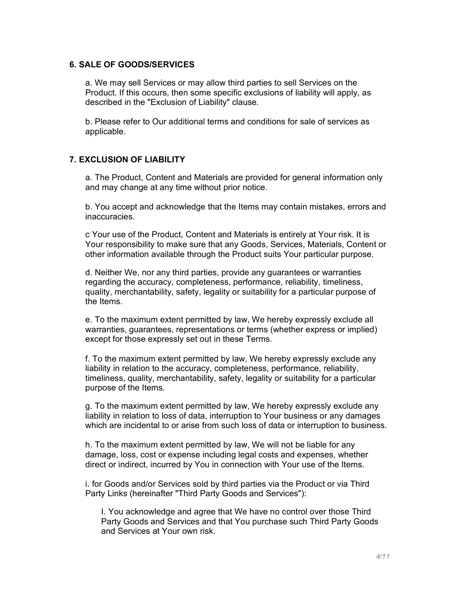#### 6. SALE OF GOODS/SERVICES

a. We may sell Services or may allow third parties to sell Services on the Product. If this occurs, then some specific exclusions of liability will apply, as described in the "Exclusion of Liability" clause.

b. Please refer to Our additional terms and conditions for sale of services as applicable.

#### 7. EXCLUSION OF LIABILITY

a. The Product, Content and Materials are provided for general information only and may change at any time without prior notice.

b. You accept and acknowledge that the Items may contain mistakes, errors and inaccuracies.

c Your use of the Product, Content and Materials is entirely at Your risk. It is Your responsibility to make sure that any Goods, Services, Materials, Content or other information available through the Product suits Your particular purpose.

d. Neither We, nor any third parties, provide any guarantees or warranties regarding the accuracy, completeness, performance, reliability, timeliness, quality, merchantability, safety, legality or suitability for a particular purpose of the Items.

e. To the maximum extent permitted by law, We hereby expressly exclude all warranties, guarantees, representations or terms (whether express or implied) except for those expressly set out in these Terms.

f. To the maximum extent permitted by law, We hereby expressly exclude any liability in relation to the accuracy, completeness, performance, reliability, timeliness, quality, merchantability, safety, legality or suitability for a particular purpose of the Items.

g. To the maximum extent permitted by law, We hereby expressly exclude any liability in relation to loss of data, interruption to Your business or any damages which are incidental to or arise from such loss of data or interruption to business.

h. To the maximum extent permitted by law, We will not be liable for any damage, loss, cost or expense including legal costs and expenses, whether direct or indirect, incurred by You in connection with Your use of the Items.

i. for Goods and/or Services sold by third parties via the Product or via Third Party Links (hereinafter "Third Party Goods and Services"):

I. You acknowledge and agree that We have no control over those Third Party Goods and Services and that You purchase such Third Party Goods and Services at Your own risk.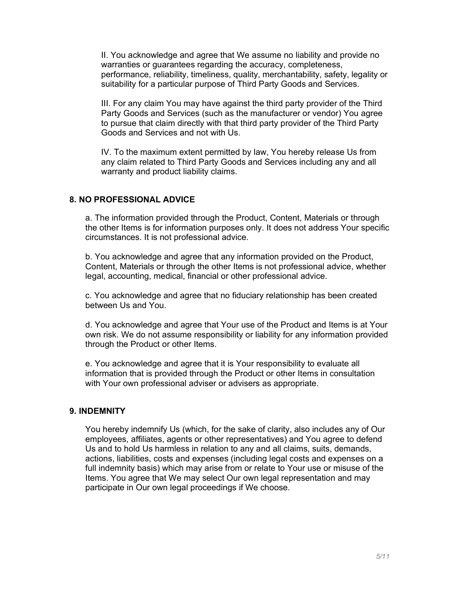II. You acknowledge and agree that We assume no liability and provide no warranties or guarantees regarding the accuracy, completeness, performance, reliability, timeliness, quality, merchantability, safety, legality or suitability for a particular purpose of Third Party Goods and Services.

III. For any claim You may have against the third party provider of the Third Party Goods and Services (such as the manufacturer or vendor) You agree to pursue that claim directly with that third party provider of the Third Party Goods and Services and not with Us.

IV. To the maximum extent permitted by law, You hereby release Us from any claim related to Third Party Goods and Services including any and all warranty and product liability claims.

### 8. NO PROFESSIONAL ADVICE

a. The information provided through the Product, Content, Materials or through the other Items is for information purposes only. It does not address Your specific circumstances. It is not professional advice.

b. You acknowledge and agree that any information provided on the Product, Content, Materials or through the other Items is not professional advice, whether legal, accounting, medical, financial or other professional advice.

c. You acknowledge and agree that no fiduciary relationship has been created between Us and You.

d. You acknowledge and agree that Your use of the Product and Items is at Your own risk. We do not assume responsibility or liability for any information provided through the Product or other Items.

e. You acknowledge and agree that it is Your responsibility to evaluate all information that is provided through the Product or other Items in consultation with Your own professional adviser or advisers as appropriate.

### 9. INDEMNITY

You hereby indemnify Us (which, for the sake of clarity, also includes any of Our employees, affiliates, agents or other representatives) and You agree to defend Us and to hold Us harmless in relation to any and all claims, suits, demands, actions, liabilities, costs and expenses (including legal costs and expenses on a full indemnity basis) which may arise from or relate to Your use or misuse of the Items. You agree that We may select Our own legal representation and may participate in Our own legal proceedings if We choose.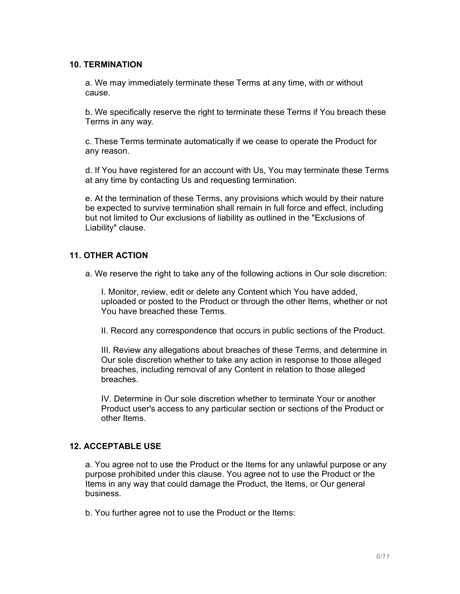#### 10. TERMINATION

a. We may immediately terminate these Terms at any time, with or without cause.

b. We specifically reserve the right to terminate these Terms if You breach these Terms in any way.

c. These Terms terminate automatically if we cease to operate the Product for any reason.

d. If You have registered for an account with Us, You may terminate these Terms at any time by contacting Us and requesting termination.

e. At the termination of these Terms, any provisions which would by their nature be expected to survive termination shall remain in full force and effect, including but not limited to Our exclusions of liability as outlined in the "Exclusions of Liability" clause.

### 11. OTHER ACTION

a. We reserve the right to take any of the following actions in Our sole discretion:

I. Monitor, review, edit or delete any Content which You have added, uploaded or posted to the Product or through the other Items, whether or not You have breached these Terms.

II. Record any correspondence that occurs in public sections of the Product.

III. Review any allegations about breaches of these Terms, and determine in Our sole discretion whether to take any action in response to those alleged breaches, including removal of any Content in relation to those alleged breaches.

IV. Determine in Our sole discretion whether to terminate Your or another Product user's access to any particular section or sections of the Product or other Items.

## 12. ACCEPTABLE USE

a. You agree not to use the Product or the Items for any unlawful purpose or any purpose prohibited under this clause. You agree not to use the Product or the Items in any way that could damage the Product, the Items, or Our general business.

b. You further agree not to use the Product or the Items: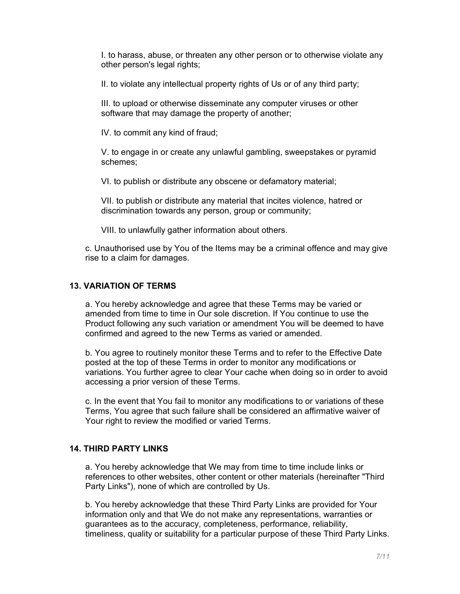I. to harass, abuse, or threaten any other person or to otherwise violate any other person's legal rights;

II. to violate any intellectual property rights of Us or of any third party;

III. to upload or otherwise disseminate any computer viruses or other software that may damage the property of another;

IV. to commit any kind of fraud;

V. to engage in or create any unlawful gambling, sweepstakes or pyramid schemes;

VI. to publish or distribute any obscene or defamatory material;

VII. to publish or distribute any material that incites violence, hatred or discrimination towards any person, group or community;

VIII. to unlawfully gather information about others.

c. Unauthorised use by You of the Items may be a criminal offence and may give rise to a claim for damages.

### 13. VARIATION OF TERMS

a. You hereby acknowledge and agree that these Terms may be varied or amended from time to time in Our sole discretion. If You continue to use the Product following any such variation or amendment You will be deemed to have confirmed and agreed to the new Terms as varied or amended.

b. You agree to routinely monitor these Terms and to refer to the Effective Date posted at the top of these Terms in order to monitor any modifications or variations. You further agree to clear Your cache when doing so in order to avoid accessing a prior version of these Terms.

c. In the event that You fail to monitor any modifications to or variations of these Terms, You agree that such failure shall be considered an affirmative waiver of Your right to review the modified or varied Terms.

### 14. THIRD PARTY LINKS

a. You hereby acknowledge that We may from time to time include links or references to other websites, other content or other materials (hereinafter "Third Party Links"), none of which are controlled by Us.

b. You hereby acknowledge that these Third Party Links are provided for Your information only and that We do not make any representations, warranties or guarantees as to the accuracy, completeness, performance, reliability, timeliness, quality or suitability for a particular purpose of these Third Party Links.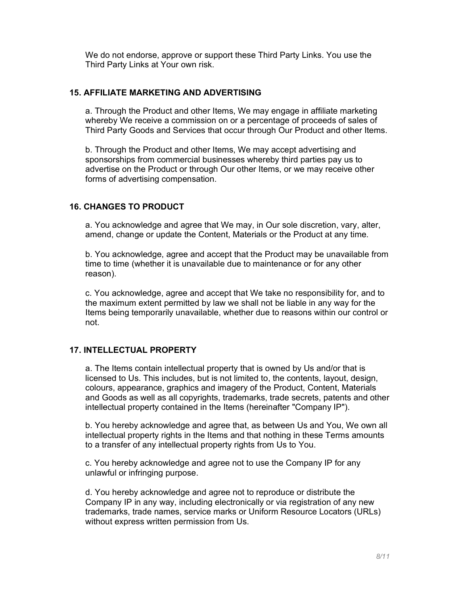We do not endorse, approve or support these Third Party Links. You use the Third Party Links at Your own risk.

## 15. AFFILIATE MARKETING AND ADVERTISING

a. Through the Product and other Items, We may engage in affiliate marketing whereby We receive a commission on or a percentage of proceeds of sales of Third Party Goods and Services that occur through Our Product and other Items.

b. Through the Product and other Items, We may accept advertising and sponsorships from commercial businesses whereby third parties pay us to advertise on the Product or through Our other Items, or we may receive other forms of advertising compensation.

## 16. CHANGES TO PRODUCT

a. You acknowledge and agree that We may, in Our sole discretion, vary, alter, amend, change or update the Content, Materials or the Product at any time.

b. You acknowledge, agree and accept that the Product may be unavailable from time to time (whether it is unavailable due to maintenance or for any other reason).

c. You acknowledge, agree and accept that We take no responsibility for, and to the maximum extent permitted by law we shall not be liable in any way for the Items being temporarily unavailable, whether due to reasons within our control or not.

## 17. INTELLECTUAL PROPERTY

a. The Items contain intellectual property that is owned by Us and/or that is licensed to Us. This includes, but is not limited to, the contents, layout, design, colours, appearance, graphics and imagery of the Product, Content, Materials and Goods as well as all copyrights, trademarks, trade secrets, patents and other intellectual property contained in the Items (hereinafter "Company IP").

b. You hereby acknowledge and agree that, as between Us and You, We own all intellectual property rights in the Items and that nothing in these Terms amounts to a transfer of any intellectual property rights from Us to You.

c. You hereby acknowledge and agree not to use the Company IP for any unlawful or infringing purpose.

d. You hereby acknowledge and agree not to reproduce or distribute the Company IP in any way, including electronically or via registration of any new trademarks, trade names, service marks or Uniform Resource Locators (URLs) without express written permission from Us.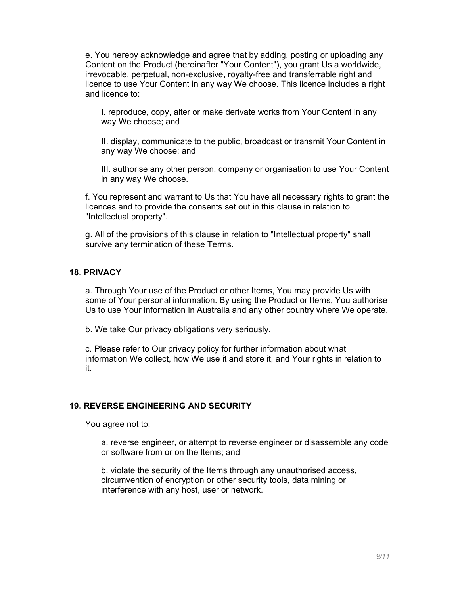e. You hereby acknowledge and agree that by adding, posting or uploading any Content on the Product (hereinafter "Your Content"), you grant Us a worldwide, irrevocable, perpetual, non-exclusive, royalty-free and transferrable right and licence to use Your Content in any way We choose. This licence includes a right and licence to:

I. reproduce, copy, alter or make derivate works from Your Content in any way We choose; and

II. display, communicate to the public, broadcast or transmit Your Content in any way We choose; and

III. authorise any other person, company or organisation to use Your Content in any way We choose.

f. You represent and warrant to Us that You have all necessary rights to grant the licences and to provide the consents set out in this clause in relation to "Intellectual property".

g. All of the provisions of this clause in relation to "Intellectual property" shall survive any termination of these Terms.

## 18. PRIVACY

a. Through Your use of the Product or other Items, You may provide Us with some of Your personal information. By using the Product or Items, You authorise Us to use Your information in Australia and any other country where We operate.

b. We take Our privacy obligations very seriously.

c. Please refer to Our privacy policy for further information about what information We collect, how We use it and store it, and Your rights in relation to it.

## 19. REVERSE ENGINEERING AND SECURITY

You agree not to:

a. reverse engineer, or attempt to reverse engineer or disassemble any code or software from or on the Items; and

b. violate the security of the Items through any unauthorised access, circumvention of encryption or other security tools, data mining or interference with any host, user or network.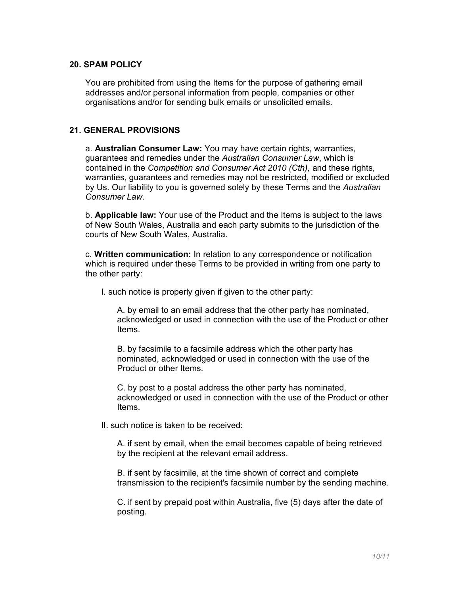#### 20. SPAM POLICY

You are prohibited from using the Items for the purpose of gathering email addresses and/or personal information from people, companies or other organisations and/or for sending bulk emails or unsolicited emails.

### 21. GENERAL PROVISIONS

a. Australian Consumer Law: You may have certain rights, warranties, guarantees and remedies under the Australian Consumer Law, which is contained in the Competition and Consumer Act 2010 (Cth), and these rights, warranties, guarantees and remedies may not be restricted, modified or excluded by Us. Our liability to you is governed solely by these Terms and the Australian Consumer Law.

b. Applicable law: Your use of the Product and the Items is subject to the laws of New South Wales, Australia and each party submits to the jurisdiction of the courts of New South Wales, Australia.

c. Written communication: In relation to any correspondence or notification which is required under these Terms to be provided in writing from one party to the other party:

I. such notice is properly given if given to the other party:

A. by email to an email address that the other party has nominated, acknowledged or used in connection with the use of the Product or other Items.

B. by facsimile to a facsimile address which the other party has nominated, acknowledged or used in connection with the use of the Product or other Items.

C. by post to a postal address the other party has nominated, acknowledged or used in connection with the use of the Product or other Items.

II. such notice is taken to be received:

A. if sent by email, when the email becomes capable of being retrieved by the recipient at the relevant email address.

B. if sent by facsimile, at the time shown of correct and complete transmission to the recipient's facsimile number by the sending machine.

C. if sent by prepaid post within Australia, five (5) days after the date of posting.